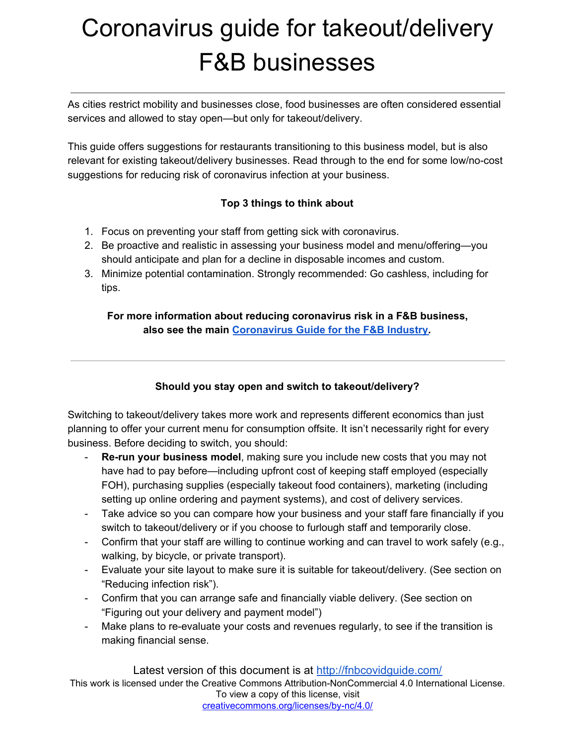As cities restrict mobility and businesses close, food businesses are often considered essential services and allowed to stay open—but only for takeout/delivery.

This guide offers suggestions for restaurants transitioning to this business model, but is also relevant for existing takeout/delivery businesses. Read through to the end for some low/no-cost suggestions for reducing risk of coronavirus infection at your business.

### **Top 3 things to think about**

- 1. Focus on preventing your staff from getting sick with coronavirus.
- 2. Be proactive and realistic in assessing your business model and menu/offering—you should anticipate and plan for a decline in disposable incomes and custom.
- 3. Minimize potential contamination. Strongly recommended: Go cashless, including for tips.

## **For more information about reducing coronavirus risk in a F&B business, also see the main [Coronavirus](https://docs.google.com/document/d/13n1TeOl_cB_jJhRzGNztgInzTZhWpLwW52K4q7hwnlQ/export?format=pdf) Guide for the F&B Industry.**

## **Should you stay open and switch to takeout/delivery?**

Switching to takeout/delivery takes more work and represents different economics than just planning to offer your current menu for consumption offsite. It isn't necessarily right for every business. Before deciding to switch, you should:

- **Re-run your business model**, making sure you include new costs that you may not have had to pay before—including upfront cost of keeping staff employed (especially FOH), purchasing supplies (especially takeout food containers), marketing (including setting up online ordering and payment systems), and cost of delivery services.
- Take advice so you can compare how your business and your staff fare financially if you switch to takeout/delivery or if you choose to furlough staff and temporarily close.
- Confirm that your staff are willing to continue working and can travel to work safely (e.g., walking, by bicycle, or private transport).
- Evaluate your site layout to make sure it is suitable for takeout/delivery. (See section on "Reducing infection risk").
- Confirm that you can arrange safe and financially viable delivery. (See section on "Figuring out your delivery and payment model")
- Make plans to re-evaluate your costs and revenues regularly, to see if the transition is making financial sense.

Latest version of this document is at <http://fnbcovidguide.com/> This work is licensed under the Creative Commons Attribution-NonCommercial 4.0 International License. To view a copy of this license, visit [creativecommons.org/licenses/by-nc/4.0/](http://creativecommons.org/licenses/by-nc/4.0/)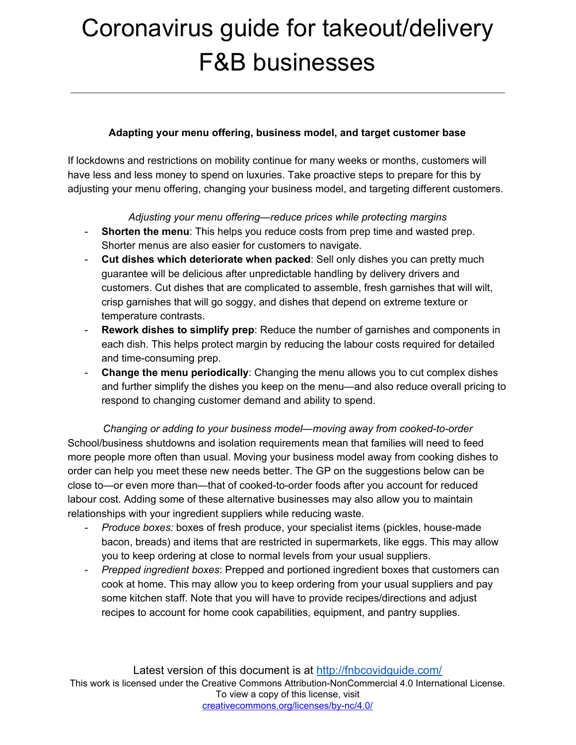### **Adapting your menu offering, business model, and target customer base**

If lockdowns and restrictions on mobility continue for many weeks or months, customers will have less and less money to spend on luxuries. Take proactive steps to prepare for this by adjusting your menu offering, changing your business model, and targeting different customers.

#### *Adjusting your menu offering—reduce prices while protecting margins*

- **Shorten the menu**: This helps you reduce costs from prep time and wasted prep. Shorter menus are also easier for customers to navigate.
- **Cut dishes which deteriorate when packed**: Sell only dishes you can pretty much guarantee will be delicious after unpredictable handling by delivery drivers and customers. Cut dishes that are complicated to assemble, fresh garnishes that will wilt, crisp garnishes that will go soggy, and dishes that depend on extreme texture or temperature contrasts.
- **Rework dishes to simplify prep**: Reduce the number of garnishes and components in each dish. This helps protect margin by reducing the labour costs required for detailed and time-consuming prep.
- **Change the menu periodically**: Changing the menu allows you to cut complex dishes and further simplify the dishes you keep on the menu—and also reduce overall pricing to respond to changing customer demand and ability to spend.

*Changing or adding to your business model—moving away from cooked-to-order* School/business shutdowns and isolation requirements mean that families will need to feed more people more often than usual. Moving your business model away from cooking dishes to order can help you meet these new needs better. The GP on the suggestions below can be close to—or even more than—that of cooked-to-order foods after you account for reduced labour cost. Adding some of these alternative businesses may also allow you to maintain relationships with your ingredient suppliers while reducing waste.

- *Produce boxes:* boxes of fresh produce, your specialist items (pickles, house-made bacon, breads) and items that are restricted in supermarkets, like eggs. This may allow you to keep ordering at close to normal levels from your usual suppliers.
- *Prepped ingredient boxes*: Prepped and portioned ingredient boxes that customers can cook at home. This may allow you to keep ordering from your usual suppliers and pay some kitchen staff. Note that you will have to provide recipes/directions and adjust recipes to account for home cook capabilities, equipment, and pantry supplies.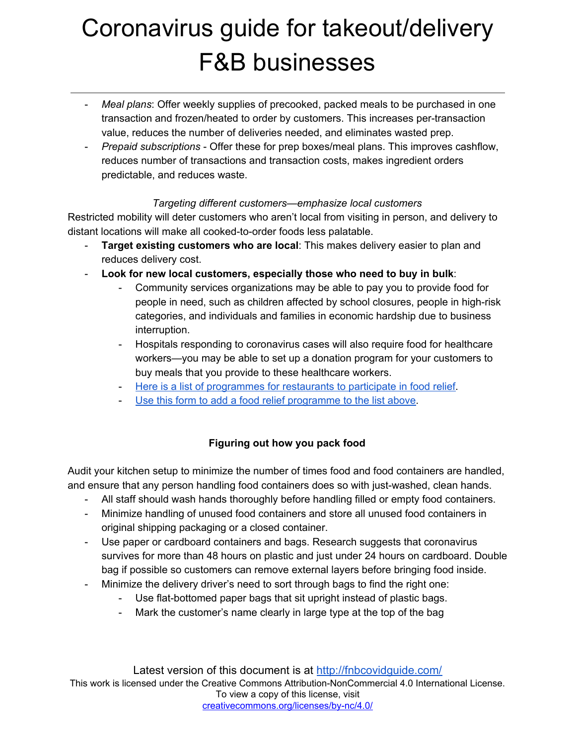- *Meal plans*: Offer weekly supplies of precooked, packed meals to be purchased in one transaction and frozen/heated to order by customers. This increases per-transaction value, reduces the number of deliveries needed, and eliminates wasted prep.
- *Prepaid subscriptions* Offer these for prep boxes/meal plans. This improves cashflow, reduces number of transactions and transaction costs, makes ingredient orders predictable, and reduces waste.

#### *Targeting different customers—emphasize local customers*

Restricted mobility will deter customers who aren't local from visiting in person, and delivery to distant locations will make all cooked-to-order foods less palatable.

- **Target existing customers who are local**: This makes delivery easier to plan and reduces delivery cost.
- **Look for new local customers, especially those who need to buy in bulk**:
	- Community services organizations may be able to pay you to provide food for people in need, such as children affected by school closures, people in high-risk categories, and individuals and families in economic hardship due to business interruption.
	- Hospitals responding to coronavirus cases will also require food for healthcare workers—you may be able to set up a donation program for your customers to buy meals that you provide to these healthcare workers.
	- Here is a list of [programmes](https://docs.google.com/spreadsheets/d/1_y7BAPwWFppF6aBUyZmVTZqOwqQ6gxvngDm3E5WcyQk/edit?usp=sharing) for restaurants to participate in food relief.
	- Use this form to add a food relief [programme](https://forms.gle/Nm7PC9jkKvLbhHbd7) to the list above.

## **Figuring out how you pack food**

Audit your kitchen setup to minimize the number of times food and food containers are handled, and ensure that any person handling food containers does so with just-washed, clean hands.

- All staff should wash hands thoroughly before handling filled or empty food containers.
- Minimize handling of unused food containers and store all unused food containers in original shipping packaging or a closed container.
- Use paper or cardboard containers and bags. Research suggests that coronavirus survives for more than 48 hours on plastic and just under 24 hours on cardboard. Double bag if possible so customers can remove external layers before bringing food inside.
- Minimize the delivery driver's need to sort through bags to find the right one:
	- Use flat-bottomed paper bags that sit upright instead of plastic bags.
	- Mark the customer's name clearly in large type at the top of the bag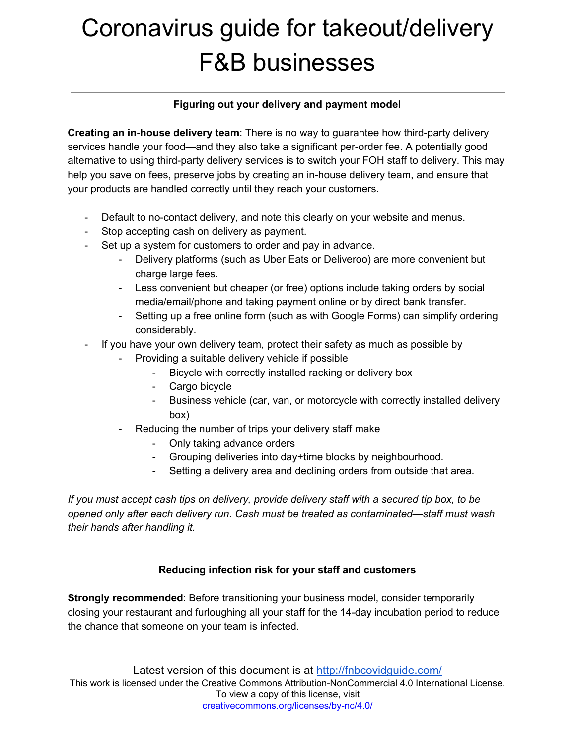#### **Figuring out your delivery and payment model**

**Creating an in-house delivery team**: There is no way to guarantee how third-party delivery services handle your food—and they also take a significant per-order fee. A potentially good alternative to using third-party delivery services is to switch your FOH staff to delivery. This may help you save on fees, preserve jobs by creating an in-house delivery team, and ensure that your products are handled correctly until they reach your customers.

- Default to no-contact delivery, and note this clearly on your website and menus.
- Stop accepting cash on delivery as payment.
- Set up a system for customers to order and pay in advance.
	- Delivery platforms (such as Uber Eats or Deliveroo) are more convenient but charge large fees.
	- Less convenient but cheaper (or free) options include taking orders by social media/email/phone and taking payment online or by direct bank transfer.
	- Setting up a free online form (such as with Google Forms) can simplify ordering considerably.
- If you have your own delivery team, protect their safety as much as possible by
	- Providing a suitable delivery vehicle if possible
		- Bicycle with correctly installed racking or delivery box
		- Cargo bicycle
		- Business vehicle (car, van, or motorcycle with correctly installed delivery box)
	- Reducing the number of trips your delivery staff make
		- Only taking advance orders
		- Grouping deliveries into day+time blocks by neighbourhood.
		- Setting a delivery area and declining orders from outside that area.

*If you must accept cash tips on delivery, provide delivery staff with a secured tip box, to be opened only after each delivery run. Cash must be treated as contaminated—staff must wash their hands after handling it.*

## **Reducing infection risk for your staff and customers**

**Strongly recommended**: Before transitioning your business model, consider temporarily closing your restaurant and furloughing all your staff for the 14-day incubation period to reduce the chance that someone on your team is infected.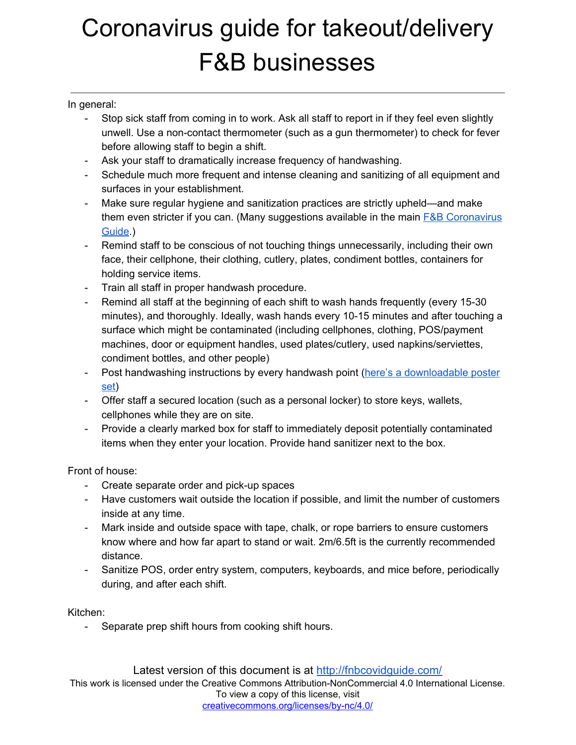### In general:

- Stop sick staff from coming in to work. Ask all staff to report in if they feel even slightly unwell. Use a non-contact thermometer (such as a gun thermometer) to check for fever before allowing staff to begin a shift.
- Ask your staff to dramatically increase frequency of handwashing.
- Schedule much more frequent and intense cleaning and sanitizing of all equipment and surfaces in your establishment.
- Make sure regular hygiene and sanitization practices are strictly upheld—and make them even stricter if you can. (Many suggestions available in the main  $F&B$  [Coronavirus](https://docs.google.com/document/d/13n1TeOl_cB_jJhRzGNztgInzTZhWpLwW52K4q7hwnlQ/export?format=pdf) [Guide](https://docs.google.com/document/d/13n1TeOl_cB_jJhRzGNztgInzTZhWpLwW52K4q7hwnlQ/export?format=pdf).)
- Remind staff to be conscious of not touching things unnecessarily, including their own face, their cellphone, their clothing, cutlery, plates, condiment bottles, containers for holding service items.
- Train all staff in proper handwash procedure.
- Remind all staff at the beginning of each shift to wash hands frequently (every 15-30 minutes), and thoroughly. Ideally, wash hands every 10-15 minutes and after touching a surface which might be contaminated (including cellphones, clothing, POS/payment machines, door or equipment handles, used plates/cutlery, used napkins/serviettes, condiment bottles, and other people)
- Post handwashing instructions by every handwash point (here's a [downloadable](http://bit.ly/2U4odHr) poster [set\)](http://bit.ly/2U4odHr)
- Offer staff a secured location (such as a personal locker) to store keys, wallets, cellphones while they are on site.
- Provide a clearly marked box for staff to immediately deposit potentially contaminated items when they enter your location. Provide hand sanitizer next to the box.

Front of house:

- Create separate order and pick-up spaces
- Have customers wait outside the location if possible, and limit the number of customers inside at any time.
- Mark inside and outside space with tape, chalk, or rope barriers to ensure customers know where and how far apart to stand or wait. 2m/6.5ft is the currently recommended distance.
- Sanitize POS, order entry system, computers, keyboards, and mice before, periodically during, and after each shift.

Kitchen:

- Separate prep shift hours from cooking shift hours.